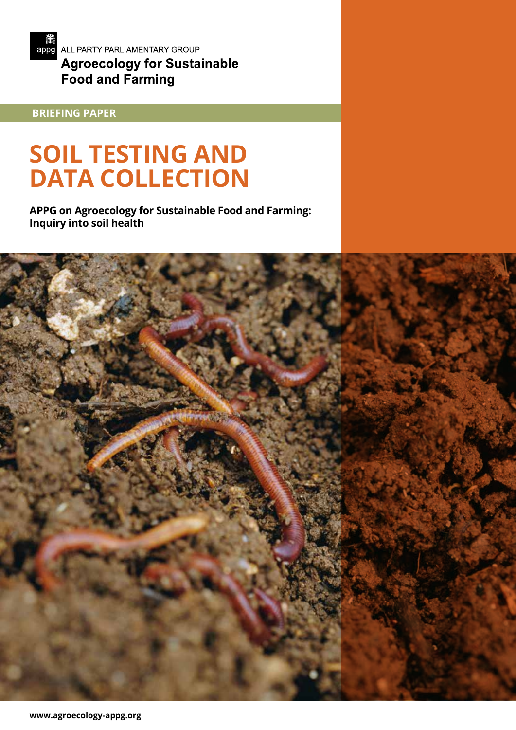

 **BRIEFING PAPER**

# **SOIL TESTING AND DATA COLLECTION**

**APPG on Agroecology for Sustainable Food and Farming: Inquiry into soil health**

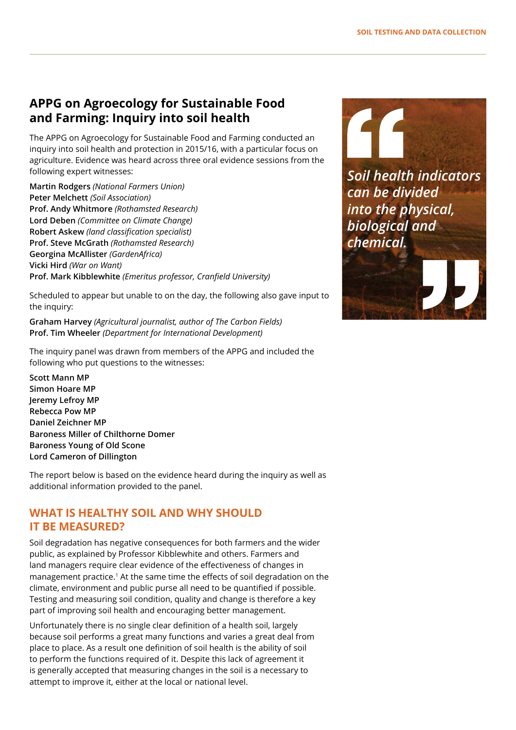# **APPG on Agroecology for Sustainable Food and Farming: Inquiry into soil health**

The APPG on Agroecology for Sustainable Food and Farming conducted an inquiry into soil health and protection in 2015/16, with a particular focus on agriculture. Evidence was heard across three oral evidence sessions from the following expert witnesses:

**Martin Rodgers** *(National Farmers Union)* **Peter Melchett** *(Soil Association)* **Prof. Andy Whitmore** *(Rothamsted Research)* **Lord Deben** *(Committee on Climate Change)* **Robert Askew** *(land classification specialist)* **Prof. Steve McGrath** *(Rothamsted Research)* **Georgina McAllister** *(GardenAfrica)* **Vicki Hird** *(War on Want)* **Prof. Mark Kibblewhite** *(Emeritus professor, Cranfield University)*

Scheduled to appear but unable to on the day, the following also gave input to the inquiry:

**Graham Harvey** *(Agricultural journalist, author of The Carbon Fields)* **Prof. Tim Wheeler** *(Department for International Development)*

The inquiry panel was drawn from members of the APPG and included the following who put questions to the witnesses:

**Scott Mann MP Simon Hoare MP Jeremy Lefroy MP Rebecca Pow MP Daniel Zeichner MP Baroness Miller of Chilthorne Domer Baroness Young of Old Scone Lord Cameron of Dillington**

The report below is based on the evidence heard during the inquiry as well as additional information provided to the panel.

# **WHAT IS HEALTHY SOIL AND WHY SHOULD IT BE MEASURED?**

Soil degradation has negative consequences for both farmers and the wider public, as explained by Professor Kibblewhite and others. Farmers and land managers require clear evidence of the effectiveness of changes in management practice.1 At the same time the effects of soil degradation on the climate, environment and public purse all need to be quantified if possible. Testing and measuring soil condition, quality and change is therefore a key part of improving soil health and encouraging better management.

Unfortunately there is no single clear definition of a health soil, largely because soil performs a great many functions and varies a great deal from place to place. As a result one definition of soil health is the ability of soil to perform the functions required of it. Despite this lack of agreement it is generally accepted that measuring changes in the soil is a necessary to attempt to improve it, either at the local or national level.

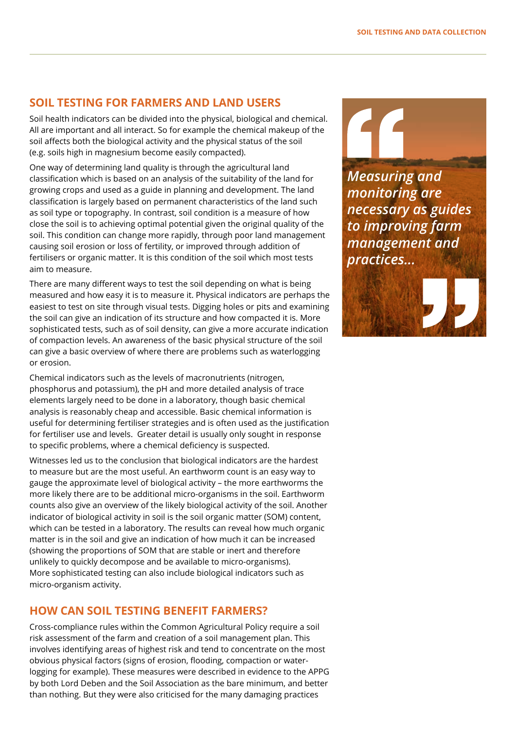## **SOIL TESTING FOR FARMERS AND LAND USERS**

Soil health indicators can be divided into the physical, biological and chemical. All are important and all interact. So for example the chemical makeup of the soil affects both the biological activity and the physical status of the soil (e.g. soils high in magnesium become easily compacted).

One way of determining land quality is through the agricultural land classification which is based on an analysis of the suitability of the land for growing crops and used as a guide in planning and development. The land classification is largely based on permanent characteristics of the land such as soil type or topography. In contrast, soil condition is a measure of how close the soil is to achieving optimal potential given the original quality of the soil. This condition can change more rapidly, through poor land management causing soil erosion or loss of fertility, or improved through addition of fertilisers or organic matter. It is this condition of the soil which most tests aim to measure.

There are many different ways to test the soil depending on what is being measured and how easy it is to measure it. Physical indicators are perhaps the easiest to test on site through visual tests. Digging holes or pits and examining the soil can give an indication of its structure and how compacted it is. More sophisticated tests, such as of soil density, can give a more accurate indication of compaction levels. An awareness of the basic physical structure of the soil can give a basic overview of where there are problems such as waterlogging or erosion.

Chemical indicators such as the levels of macronutrients (nitrogen, phosphorus and potassium), the pH and more detailed analysis of trace elements largely need to be done in a laboratory, though basic chemical analysis is reasonably cheap and accessible. Basic chemical information is useful for determining fertiliser strategies and is often used as the justification for fertiliser use and levels. Greater detail is usually only sought in response to specific problems, where a chemical deficiency is suspected.

Witnesses led us to the conclusion that biological indicators are the hardest to measure but are the most useful. An earthworm count is an easy way to gauge the approximate level of biological activity – the more earthworms the more likely there are to be additional micro-organisms in the soil. Earthworm counts also give an overview of the likely biological activity of the soil. Another indicator of biological activity in soil is the soil organic matter (SOM) content, which can be tested in a laboratory. The results can reveal how much organic matter is in the soil and give an indication of how much it can be increased (showing the proportions of SOM that are stable or inert and therefore unlikely to quickly decompose and be available to micro-organisms). More sophisticated testing can also include biological indicators such as micro-organism activity.

#### **HOW CAN SOIL TESTING BENEFIT FARMERS?**

Cross-compliance rules within the Common Agricultural Policy require a soil risk assessment of the farm and creation of a soil management plan. This involves identifying areas of highest risk and tend to concentrate on the most obvious physical factors (signs of erosion, flooding, compaction or waterlogging for example). These measures were described in evidence to the APPG by both Lord Deben and the Soil Association as the bare minimum, and better than nothing. But they were also criticised for the many damaging practices

*Measuring and monitoring are necessary as guides to improving farm management and practices...*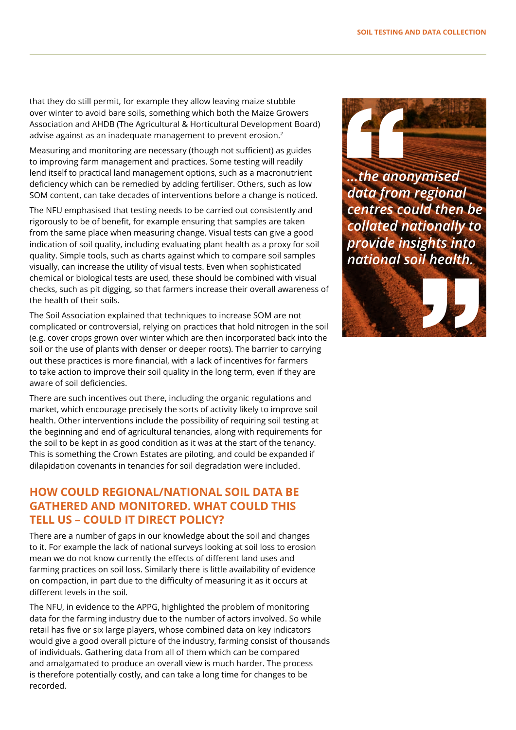that they do still permit, for example they allow leaving maize stubble over winter to avoid bare soils, something which both the Maize Growers Association and AHDB (The Agricultural & Horticultural Development Board) advise against as an inadequate management to prevent erosion.<sup>2</sup>

Measuring and monitoring are necessary (though not sufficient) as guides to improving farm management and practices. Some testing will readily lend itself to practical land management options, such as a macronutrient deficiency which can be remedied by adding fertiliser. Others, such as low SOM content, can take decades of interventions before a change is noticed.

The NFU emphasised that testing needs to be carried out consistently and rigorously to be of benefit, for example ensuring that samples are taken from the same place when measuring change. Visual tests can give a good indication of soil quality, including evaluating plant health as a proxy for soil quality. Simple tools, such as charts against which to compare soil samples visually, can increase the utility of visual tests. Even when sophisticated chemical or biological tests are used, these should be combined with visual checks, such as pit digging, so that farmers increase their overall awareness of the health of their soils.

The Soil Association explained that techniques to increase SOM are not complicated or controversial, relying on practices that hold nitrogen in the soil (e.g. cover crops grown over winter which are then incorporated back into the soil or the use of plants with denser or deeper roots). The barrier to carrying out these practices is more financial, with a lack of incentives for farmers to take action to improve their soil quality in the long term, even if they are aware of soil deficiencies.

There are such incentives out there, including the organic regulations and market, which encourage precisely the sorts of activity likely to improve soil health. Other interventions include the possibility of requiring soil testing at the beginning and end of agricultural tenancies, along with requirements for the soil to be kept in as good condition as it was at the start of the tenancy. This is something the Crown Estates are piloting, and could be expanded if dilapidation covenants in tenancies for soil degradation were included.

## **HOW COULD REGIONAL/NATIONAL SOIL DATA BE GATHERED AND MONITORED. WHAT COULD THIS TELL US – COULD IT DIRECT POLICY?**

There are a number of gaps in our knowledge about the soil and changes to it. For example the lack of national surveys looking at soil loss to erosion mean we do not know currently the effects of different land uses and farming practices on soil loss. Similarly there is little availability of evidence on compaction, in part due to the difficulty of measuring it as it occurs at different levels in the soil.

The NFU, in evidence to the APPG, highlighted the problem of monitoring data for the farming industry due to the number of actors involved. So while retail has five or six large players, whose combined data on key indicators would give a good overall picture of the industry, farming consist of thousands of individuals. Gathering data from all of them which can be compared and amalgamated to produce an overall view is much harder. The process is therefore potentially costly, and can take a long time for changes to be recorded.



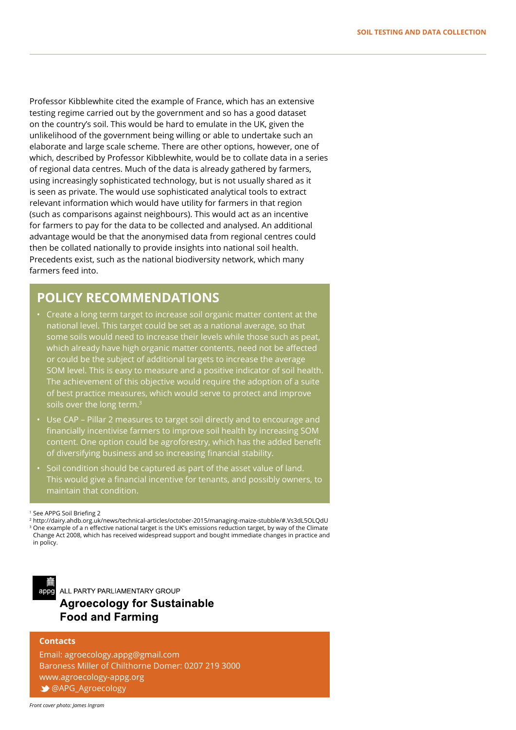Professor Kibblewhite cited the example of France, which has an extensive testing regime carried out by the government and so has a good dataset on the country's soil. This would be hard to emulate in the UK, given the unlikelihood of the government being willing or able to undertake such an elaborate and large scale scheme. There are other options, however, one of which, described by Professor Kibblewhite, would be to collate data in a series of regional data centres. Much of the data is already gathered by farmers, using increasingly sophisticated technology, but is not usually shared as it is seen as private. The would use sophisticated analytical tools to extract relevant information which would have utility for farmers in that region (such as comparisons against neighbours). This would act as an incentive for farmers to pay for the data to be collected and analysed. An additional advantage would be that the anonymised data from regional centres could then be collated nationally to provide insights into national soil health. Precedents exist, such as the national biodiversity network, which many farmers feed into.

# **POLICY RECOMMENDATIONS**

- Create a long term target to increase soil organic matter content at the national level. This target could be set as a national average, so that some soils would need to increase their levels while those such as peat, which already have high organic matter contents, need not be affected or could be the subject of additional targets to increase the average SOM level. This is easy to measure and a positive indicator of soil health. The achievement of this objective would require the adoption of a suite of best practice measures, which would serve to protect and improve soils over the long term.<sup>3</sup>
- Use CAP Pillar 2 measures to target soil directly and to encourage and financially incentivise farmers to improve soil health by increasing SOM content. One option could be agroforestry, which has the added benefit of diversifying business and so increasing financial stability.
- Soil condition should be captured as part of the asset value of land. This would give a financial incentive for tenants, and possibly owners, to maintain that condition.

appg

ALL PARTY PARLIAMENTARY GROUP **Agroecology for Sustainable Food and Farming** 

#### **Contacts**

Email: agroecology.appg@gmail.com Baroness Miller of Chilthorne Domer: 0207 219 3000 www.agroecology-appg.org @APG\_Agroecology

<sup>1</sup> See APPG Soil Briefing 2

<sup>2</sup> http://dairy.ahdb.org.uk/news/technical-articles/october-2015/managing-maize-stubble/#.Vs3dL5OLQdU <sup>3</sup> One example of a n effective national target is the UK's emissions reduction target, by way of the Climate Change Act 2008, which has received widespread support and bought immediate changes in practice and in policy.